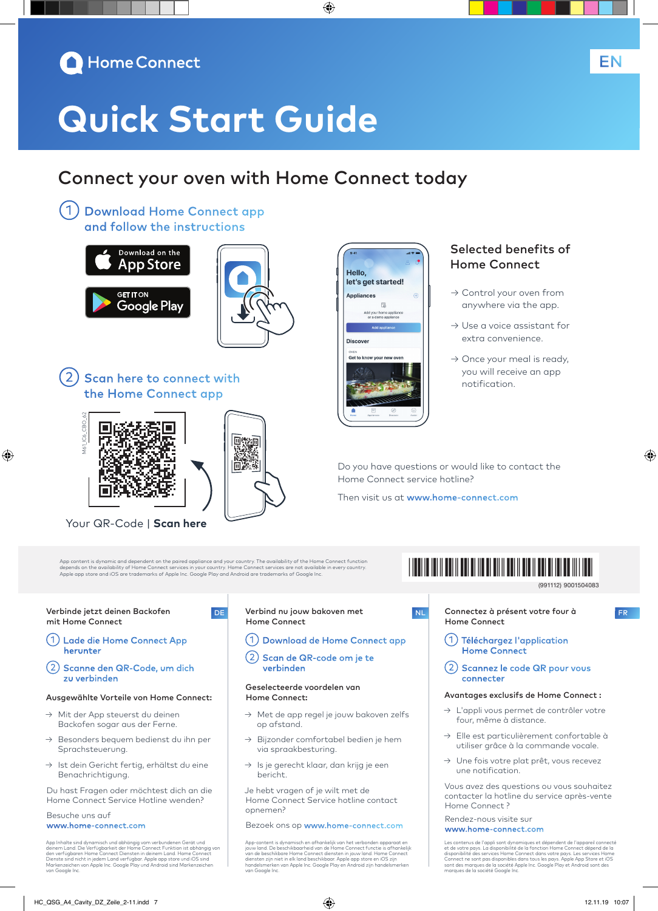

# **Quick Start Guide**

### Connect your oven with Home Connect today

◈

Hello.

**Appliances** 

**Discover** Get to know your n

let's get started!

 $\mathbb{R}$ home ap<mark>p</mark><br>mo annlis

①Download Home Connect app and follow the instructions





2) Scan here to connect with the Home Connect app



⊕

Your QR-Code | **Scan here**

App content is dynamic and dependent on the paired appliance and your country. The availability of the Home Connect function<br>depends on the availability of Home Connect services in your country. Home Connect services are n

اتتا ا

#### Verbinde jetzt deinen Backofen mit Home Connect

- ①Lade die Home Connect App herunter
- ②Scanne den QR-Code, um dich zu verbinden

#### Ausgewählte Vorteile von Home Connect:

- → Mit der App steuerst du deinen Backofen sogar aus der Ferne.
- → Besonders bequem bedienst du ihn per Sprachsteuerung.
- → Ist dein Gericht fertig, erhältst du eine Benachrichtigung.

Du hast Fragen oder möchtest dich an die Home Connect Service Hotline wenden?

#### Besuche uns auf www.home-connect.com

App Inhalte sind dynamisch und abhängig vom verbundenen Gerät und<br>deinem Land. Die Verfügbarkeit der Home Connect Funktion ist abhängig von<br>den verfügbaren Home Connect Diensten in deinem Land. Home Connect<br>Dienste sind ni van Kenzelenen<br>von Google Inc

#### DE Verbind nu jouw bakoven met Home Connect

- ①Download de Home Connect app
- ②Scan de QR-code om je te verbinden

#### Geselecteerde voordelen van Home Connect:

- → Met de app regel je jouw bakoven zelfs op afstand.
- Bijzonder comfortabel bedien je hem via spraakbesturing.
- → Is je gerecht klaar, dan krijg je een bericht.

Je hebt vragen of je wilt met de Home Connect Service hotline contact opnemen?

Bezoek ons op www.home-connect.com

App-content is dynamisch en afhankelijk van het verbonden apparaat en jouw land. De beschikbaarheid van de Home Connect functie is afhankelijk van de beschikbare Home Connect diensten in jouw land. Home Connect<br>diensten zijn niet in elk land beschikbaar. Apple app store en iOS zijn<br>handelsmerken van Apple Inc. Google Play en Android zijn handelsmerken van Google Inc.

### Selected benefits of Home Connect

EN

- → Control your oven from anywhere via the app.
- → Use a voice assistant for extra convenience.
- $\rightarrow$  Once your meal is ready, you will receive an app notification.

Do you have questions or would like to contact the Home Connect service hotline?

Then visit us at www.home-connect.com

## \*9001504083\*

9001504083 (991112)

◈

- NL Connectez à présent votre four à FR Home Connect
	- ①Téléchargez l'application

connecter

Home Connect ②Scannez le code QR pour vous

#### Avantages exclusifs de Home Connect :

- → L'appli vous permet de contrôler votre four, même à distance.
- → Elle est particulièrement confortable à utiliser grâce à la commande vocale.
- → Une fois votre plat prêt, vous recevez une notification.

Vous avez des questions ou vous souhaitez contacter la hotline du service après-vente Home Connect ?

#### Rendez-nous visite sur www.home-connect.com

Les contenus de l'appli sont dynamiques et dépendent de l'appareil connecté<br>et de votre pays. La disponibilité de la fonction Home Connect dépend de la<br>disponibilité des services Home Connect dans votre pays. Les services des marques de la sociece A<br>ues de la société Google Inc